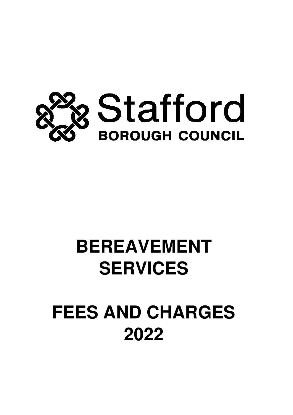

# **BEREAVEMENT SERVICES**

# **FEES AND CHARGES 2022**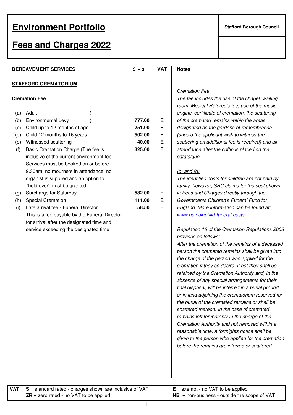# **Fees and Charges 2022**

|     | <b>BEREAVEMENT SERVICES</b>                   | $E - p$ | <b>VAT</b> | <b>Notes</b>                                                                                                             |
|-----|-----------------------------------------------|---------|------------|--------------------------------------------------------------------------------------------------------------------------|
|     | <b>STAFFORD CREMATORIUM</b>                   |         |            |                                                                                                                          |
|     | <b>Cremation Fee</b>                          |         |            | <b>Cremation Fee</b><br>The fee includes the use of the chapel, waiting<br>room, Medical Referee's fee, use of the music |
| (a) | Adult                                         |         |            | engine, certificate of cremation, the scattering                                                                         |
| (b) | <b>Environmental Levy</b>                     | 777.00  | Е          | of the cremated remains within the areas                                                                                 |
| (c) | Child up to 12 months of age                  | 251.00  | Е          | designated as the gardens of remembrance                                                                                 |
| (d) | Child 12 months to 16 years                   | 502.00  | Е          | (should the applicant wish to witness the                                                                                |
| (e) | Witnessed scattering                          | 40.00   | E          | scattering an additional fee is required) and all                                                                        |
| (f) | Basic Cremation Charge (The fee is            | 325.00  | E          | attendance after the coffin is placed on the                                                                             |
|     | inclusive of the current environment fee.     |         |            | catafalque.                                                                                                              |
|     | Services must be booked on or before          |         |            |                                                                                                                          |
|     | 9.30am, no mourners in attendance, no         |         |            | $(c)$ and $(d)$                                                                                                          |
|     | organist is supplied and an option to         |         |            | The identified costs for children are not paid by                                                                        |
|     | 'hold over' must be granted)                  |         |            | family, however, SBC claims for the cost show.                                                                           |
| (g) | Surcharge for Saturday                        | 582.00  | E          | in Fees and Charges directly through the                                                                                 |
| (h) | <b>Special Cremation</b>                      | 111.00  | E          | Governments Children's Funeral Fund for                                                                                  |
| (i) | Late arrival fee - Funeral Director           | 58.50   | E          | England. More information can be found at:                                                                               |
|     | This is a fee payable by the Funeral Director |         |            | www.gov.uk/child-funeral-costs                                                                                           |
|     | for arrival after the designated time and     |         |            |                                                                                                                          |
|     | service exceeding the designated time         |         |            | Regulation 16 of the Cremation Regulations 20                                                                            |
|     |                                               |         |            |                                                                                                                          |

#### Cremation Fee

#### $(c)$  and  $(d)$

#### Regulation 16 of the Cremation Regulations 2008 provides as follows:

After the cremation of the remains of a deceased person the cremated remains shall be given into the charge of the person who applied for the cremation if they so desire. If not they shall be retained by the Cremation Authority and, in the absence of any special arrangements for their final disposal, will be interred in a burial ground or in land adjoining the crematorium reserved for the burial of the cremated remains or shall be scattered thereon. In the case of cremated remains left temporarily in the charge of the Cremation Authority and not removed within a reasonable time, a fortnights notice shall be given to the person who applied for the cremation before the remains are interred or scattered.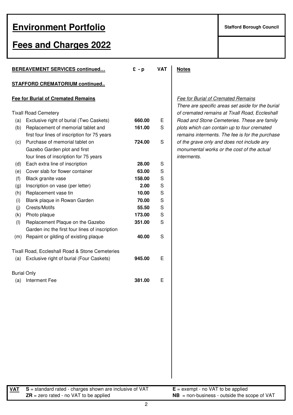# **Fees and Charges 2022**

|                    | <b>BEREAVEMENT SERVICES continued</b>           | $f - p$ | <b>VAT</b> | <b>Notes</b> |
|--------------------|-------------------------------------------------|---------|------------|--------------|
|                    | <b>STAFFORD CREMATORIUM continued</b>           |         |            |              |
|                    | <b>Fee for Burial of Cremated Remains</b>       |         |            | Fee fo       |
|                    |                                                 |         |            | <b>There</b> |
|                    | <b>Tixall Road Cemetery</b>                     |         |            | of crei      |
| (a)                | Exclusive right of burial (Two Caskets)         | 660.00  | Е          | Road         |
| (b)                | Replacement of memorial tablet and              | 161.00  | S          | plots v      |
|                    | first four lines of inscription for 75 years    |         |            | remair       |
| (c)                | Purchase of memorial tablet on                  | 724.00  | S          | of the       |
|                    | Gazebo Garden plot and first                    |         |            | monur        |
|                    | four lines of inscription for 75 years          |         |            | interm       |
| (d)                | Each extra line of inscription                  | 28.00   | S          |              |
| (e)                | Cover slab for flower container                 | 63.00   | S          |              |
| (f)                | Black granite vase                              | 158.00  | S          |              |
| (g)                | Inscription on vase (per letter)                | 2.00    | S          |              |
| (h)                | Replacement vase tin                            | 10.00   | S          |              |
| (i)                | Blank plaque in Rowan Garden                    | 70.00   | S          |              |
| (i)                | Crests/Motifs                                   | 55.50   | S          |              |
| (k)                | Photo plaque                                    | 173.00  | S          |              |
| (1)                | Replacement Plaque on the Gazebo                | 351.00  | S          |              |
|                    | Garden inc the first four lines of inscription  |         |            |              |
| (m)                | Repaint or gilding of existing plaque           | 40.00   | S          |              |
|                    | Tixall Road, Eccleshall Road & Stone Cemeteries |         |            |              |
| (a)                | Exclusive right of burial (Four Caskets)        | 945.00  | E          |              |
| <b>Burial Only</b> |                                                 |         |            |              |
| (a)                | <b>Interment Fee</b>                            | 381.00  | Ε          |              |

#### **Fee for Burial of Cremated Remains**

There are specific areas set aside for the burial of cremated remains at Tixall Road, Eccleshall Road and Stone Cemeteries. These are family plots which can contain up to four cremated remains interments. The fee is for the purchase of the grave only and does not include any monumental works or the cost of the actual interments.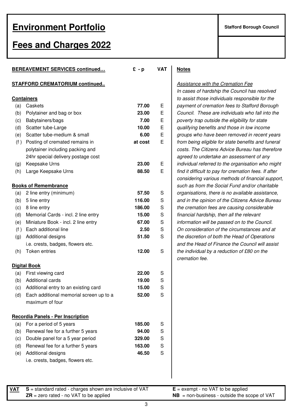### **Fees and Charges 2022**

|     | BEREAVEMENT SERVICES continued           | $E - p$ | <b>VAT</b> | <b>Notes</b>   |
|-----|------------------------------------------|---------|------------|----------------|
|     | <b>STAFFORD CREMATORIUM continued</b>    |         |            | <u>Assist</u>  |
|     |                                          |         |            | In cas         |
|     | <b>Containers</b>                        |         |            | to ass         |
| (a) | Caskets                                  | 77.00   | Е          | payme          |
| (b) | Polytainer and bag or box                | 23.00   | E          | Cound          |
| (c) | Babytainers/bags                         | 7.00    | E          | povert         |
| (d) | Scatter tube-Large                       | 10.00   | E          | qualify        |
| (e) | Scatter tube-medium & small              | 6.00    | E          | group:         |
| (f) | Posting of cremated remains in           | at cost | E          | from b         |
|     | polytainer including packing and         |         |            | costs.         |
|     | 24hr special delivery postage cost       |         |            | agreed         |
| (g) | Keepsake Urns                            | 23.00   | E          | indivia        |
| (h) | Large Keepsake Urns                      | 88.50   | E          | find it        |
|     |                                          |         |            | consic         |
|     | <b>Books of Remembrance</b>              |         |            | such a         |
| (a) | 2 line entry (minimum)                   | 57.50   | S          | organi         |
| (b) | 5 line entry                             | 116.00  | S          | and in         |
| (c) | 8 line entry                             | 186.00  | S          | the cre        |
| (d) | Memorial Cards - incl. 2 line entry      | 15.00   | S          | <i>financ.</i> |
| (e) | Miniature Book - incl. 2 line entry      | 67.00   | S          | inform         |
| (f) | Each additional line                     | 2.50    | S          | On co          |
| (g) | Additional designs                       | 51.50   | S          | the dis        |
|     | i.e. crests, badges, flowers etc.        |         |            | and th         |
| (h) | Token entries                            | 12.00   | S          | the ind        |
|     | <b>Digital Book</b>                      |         |            | crema          |
| (a) | First viewing card                       | 22.00   | S          |                |
| (b) | Additional cards                         | 19.00   | S          |                |
| (c) | Additional entry to an existing card     | 15.00   | S          |                |
| (d) | Each additional memorial screen up to a  | 52.00   | S          |                |
|     | maximum of four                          |         |            |                |
|     | <b>Recordia Panels - Per Inscription</b> |         |            |                |
| (a) | For a period of 5 years                  | 185.00  | S          |                |
| (b) | Renewal fee for a further 5 years        | 94.00   | S          |                |
| (c) | Double panel for a 5 year period         | 329.00  | S          |                |
| (d) | Renewal fee for a further 5 years        | 163.00  | S          |                |
| (e) | Additional designs                       | 46.50   | S          |                |
|     | i.e. crests, badges, flowers etc.        |         |            |                |

Assistance with the Cremation Fee In cases of hardship the Council has resolved to assist those individuals responsible for the payment of cremation fees to Stafford Borough Council. These are individuals who fall into the poverty trap outside the eligibility for state qualifying benefits and those in low income groups who have been removed in recent years from being eligible for state benefits and funeral costs. The Citizens Advice Bureau has therefore agreed to undertake an assessment of any individual referred to the organisation who might find it difficult to pay for cremation fees. If after considering various methods of financial support, such as from the Social Fund and/or charitable organisations, there is no available assistance, and in the opinion of the Citizens Advice Bureau the cremation fees are causing considerable financial hardship, then all the relevant information will be passed on to the Council. On consideration of the circumstances and at the discretion of both the Head of Operations and the Head of Finance the Council will assist the individual by a reduction of £80 on the cremation fee.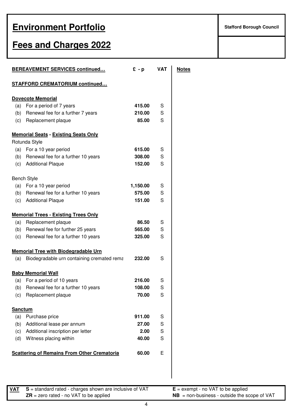# **Fees and Charges 2022**

| <b>BEREAVEMENT SERVICES continued</b>              |          | <b>VAT</b> | <u>Notes</u> |
|----------------------------------------------------|----------|------------|--------------|
| <b>STAFFORD CREMATORIUM continued</b>              |          |            |              |
| <b>Dovecote Memorial</b>                           |          |            |              |
| (a) For a period of 7 years                        | 415.00   | S          |              |
| (b) Renewal fee for a further 7 years              | 210.00   | S          |              |
| (c) Replacement plaque                             | 85.00    | S          |              |
| <b>Memorial Seats - Existing Seats Only</b>        |          |            |              |
| Rotunda Style                                      |          |            |              |
| (a) For a 10 year period                           | 615.00   | S          |              |
| (b) Renewal fee for a further 10 years             | 308.00   | S          |              |
| (c) Additional Plaque                              | 152.00   | S          |              |
| <b>Bench Style</b>                                 |          |            |              |
| (a) For a 10 year period                           | 1,150.00 | S          |              |
| (b) Renewal fee for a further 10 years             | 575.00   | S          |              |
| (c) Additional Plaque                              | 151.00   | S          |              |
| <b>Memorial Trees - Existing Trees Only</b>        |          |            |              |
| Replacement plaque<br>(a)                          | 86.50    | S          |              |
| (b) Renewal fee for further 25 years               | 565.00   | S          |              |
| (c) Renewal fee for a further 10 years             | 325.00   | S          |              |
| <b>Memorial Tree with Biodegradable Urn</b>        |          |            |              |
| Biodegradable urn containing cremated rema<br>(a)  | 232.00   | S          |              |
| <b>Baby Memorial Wall</b>                          |          |            |              |
| For a period of 10 years<br>(a)                    | 216.00   | S          |              |
| Renewal fee for a further 10 years<br>(b)          | 108.00   | S          |              |
| (c)<br>Replacement plaque                          | 70.00    | S          |              |
| <b>Sanctum</b>                                     |          |            |              |
| Purchase price<br>(a)                              | 911.00   | S          |              |
| Additional lease per annum<br>(b)                  | 27.00    | S          |              |
| Additional inscription per letter<br>(c)           | 2.00     | S          |              |
| Witness placing within<br>(d)                      | 40.00    | S          |              |
| <b>Scattering of Remains From Other Crematoria</b> | 60.00    | E          |              |

**VAT S** = standard rated - charges shown are inclusive of VAT **E** = exempt - no VAT to be applied **ZR** = zero rated - no VAT to be applied **NB** = non-business - outside the scope of VAT

4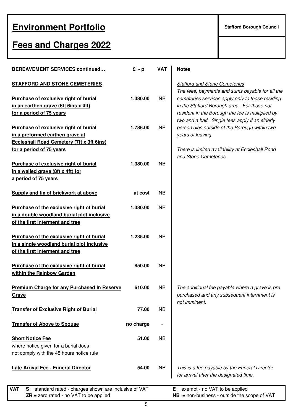# **Fees and Charges 2022**

| <b>BEREAVEMENT SERVICES continued</b>                                                                                      | $E - p$   | <b>VAT</b> | <b>Notes</b>                        |
|----------------------------------------------------------------------------------------------------------------------------|-----------|------------|-------------------------------------|
| <b>STAFFORD AND STONE CEMETERIES</b>                                                                                       |           |            | Staffor                             |
| Purchase of exclusive right of burial<br>in an earthen grave (6ft 6ins x 4ft)<br>for a period of 75 years                  | 1,380.00  | NB         | The fe<br>cemet<br>in the<br>reside |
| Purchase of exclusive right of burial<br>in a preformed earthen grave at                                                   | 1,786.00  | NB.        | two ar<br>persor<br>years           |
| <b>Eccleshall Road Cemetery (7ft x 3ft 6ins)</b><br>for a period of 75 years                                               |           |            | <b>There</b>                        |
| Purchase of exclusive right of burial<br>in a walled grave (8ft x 4ft) for<br>a period of 75 years                         | 1,380.00  | NB         | and Si                              |
| Supply and fix of brickwork at above                                                                                       | at cost   | NB         |                                     |
| Purchase of the exclusive right of burial<br>in a double woodland burial plot inclusive<br>of the first interment and tree | 1,380.00  | NB.        |                                     |
| Purchase of the exclusive right of burial<br>in a single woodland burial plot inclusive<br>of the first interment and tree | 1,235.00  | NB         |                                     |
| Purchase of the exclusive right of burial<br>within the Rainbow Garden                                                     | 850.00    | <b>NB</b>  |                                     |
| <b>Premium Charge for any Purchased In Reserve</b><br>Grave                                                                | 610.00    | <b>NB</b>  | The aเ<br>purcha                    |
| <b>Transfer of Exclusive Right of Burial</b>                                                                               | 77.00     | <b>NB</b>  | not im                              |
| <b>Transfer of Above to Spouse</b>                                                                                         | no charge |            |                                     |
| <b>Short Notice Fee</b><br>where notice given for a burial does<br>not comply with the 48 hours notice rule                | 51.00     | <b>NB</b>  |                                     |
| Late Arrival Fee - Funeral Director                                                                                        | 54.00     | <b>NB</b>  | This is<br>for arr                  |
| $S =$ standard rated - charges shown are inclusive of VAT<br>VAT                                                           |           |            | $E = e \times e$                    |

#### **Trangelier Cemeteries**

ees, payments and sums payable for all the teries services apply only to those residing Stafford Borough area. For those not *ant in the Borough the fee is multiplied by* nd a half. Single fees apply if an elderly **Purchase of exclusive right of burial 1,786.00** NB person dies outside of the Borough within two of leaving.

**is limited availability at Eccleshall Road** tone Cemeteries.

dditional fee payable where a grave is pre ased and any subsequent internment is minent.

s a fee payable by the Funeral Director rival after the designated time.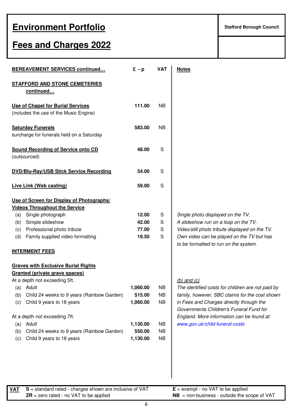# **Fees and Charges 2022**

|     | <b>BEREAVEMENT SERVICES continued</b>                                 | $E - p$  | <b>VAT</b> | <b>Notes</b>                                                                        |
|-----|-----------------------------------------------------------------------|----------|------------|-------------------------------------------------------------------------------------|
|     | <b>STAFFORD AND STONE CEMETERIES</b>                                  |          |            |                                                                                     |
|     | continued                                                             |          |            |                                                                                     |
|     | <b>Use of Chapel for Burial Services</b>                              | 111.00   | <b>NB</b>  |                                                                                     |
|     | (includes the use of the Music Engine)                                |          |            |                                                                                     |
|     | <b>Saturday Funerals</b><br>surcharge for funerals held on a Saturday | 583.00   | <b>NB</b>  |                                                                                     |
|     |                                                                       |          |            |                                                                                     |
|     | <b>Sound Recording of Service onto CD</b><br>(outsourced)             | 48.00    | S          |                                                                                     |
|     | <b>DVD/Blu-Ray/USB Stick Service Recording</b>                        | 54.00    | S          |                                                                                     |
|     | Live Link (Web casting)                                               | 59.00    | S          |                                                                                     |
|     | Use of Screen for Display of Photographs/                             |          |            |                                                                                     |
|     | <b>Videos Throughout the Service</b>                                  |          |            |                                                                                     |
| (a) | Single photograph                                                     | 12.00    | S          | Single photo displayed on the TV.                                                   |
| (b) | Simple slideshow                                                      | 42.00    | S          | A slideshow run on a loop on the TV.                                                |
| (c) | Professional photo tribute                                            | 77.00    | S          | Video/still photo tribute displayed on the TV.                                      |
| (d) | Family supplied video formatting                                      | 19.50    | S          | Own video can be played on the TV but has<br>to be formatted to run on the system.  |
|     | <b>INTERMENT FEES</b>                                                 |          |            |                                                                                     |
|     | <b>Graves with Exclusive Burial Rights</b>                            |          |            |                                                                                     |
|     | Granted (private grave spaces)                                        |          |            |                                                                                     |
|     | At a depth not exceeding 5ft.                                         |          |            | $(b)$ and $(c)$                                                                     |
| (a) | Adult                                                                 | 1,060.00 | <b>NB</b>  | The identified costs for children are not paid by                                   |
| (b) | Child 24 weeks to 9 years (Rainbow Garden)                            | 515.00   | <b>NB</b>  | family, however, SBC claims for the cost shown                                      |
| (c) | Child 9 years to 18 years                                             | 1,060.00 | <b>NB</b>  | in Fees and Charges directly through the<br>Governments Children's Funeral Fund for |
|     | At a depth not exceeding 7ft.                                         |          |            | England. More information can be found at:                                          |
| (a) | Adult                                                                 | 1,130.00 | <b>NB</b>  | www.gov.uk/child-funeral-costs                                                      |
| (b) | Child 24 weeks to 9 years (Rainbow Garden)                            | 550.00   | <b>NB</b>  |                                                                                     |
| (c) | Child 9 years to 18 years                                             | 1,130.00 | <b>NB</b>  |                                                                                     |
|     |                                                                       |          |            |                                                                                     |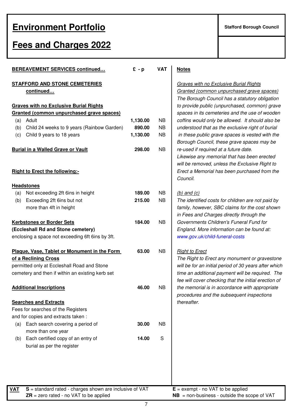#### **Fees and Charges 2022**

| <b>BEREAVEMENT SERVICES continued</b>                                                  | $E - p$  | <b>VAT</b> | <b>Notes</b>                                 |
|----------------------------------------------------------------------------------------|----------|------------|----------------------------------------------|
| <b>STAFFORD AND STONE CEMETERIES</b><br>continued                                      |          |            | Graves with r<br>Granted (com<br>The Borough |
| <b>Graves with no Exclusive Burial Rights</b>                                          |          |            | to provide pul                               |
| Granted (common unpurchased grave spaces)<br>Adult                                     | 1,130.00 | NB         | spaces in its<br>coffins would               |
| (a)<br>Child 24 weeks to 9 years (Rainbow Garden)<br>(b)                               | 890.00   | <b>NB</b>  | understood th                                |
| Child 9 years to 18 years<br>(c)                                                       | 1,130.00 | <b>NB</b>  | in these publ                                |
|                                                                                        |          |            | <b>Borough Cou</b>                           |
| <b>Burial in a Walled Grave or Vault</b>                                               | 298.00   | <b>NB</b>  | re-used if req                               |
|                                                                                        |          |            | Likewise any                                 |
| <b>Right to Erect the following:-</b>                                                  |          |            | will be remove<br>Erect a Memo               |
|                                                                                        |          |            | Council.                                     |
| <b>Headstones</b>                                                                      |          |            |                                              |
| Not exceeding 2ft 6ins in height<br>(a)                                                | 189.00   | <b>NB</b>  | (b) and $(c)$                                |
| (b)<br>Exceeding 2ft 6ins but not                                                      | 215.00   | <b>NB</b>  | The identified                               |
| more than 4ft in height                                                                |          |            | family, howev                                |
|                                                                                        |          |            | in Fees and C                                |
| <b>Kerbstones or Border Sets</b>                                                       | 184.00   | <b>NB</b>  | Governments                                  |
| (Eccleshall Rd and Stone cemetery)<br>enclosing a space not exceeding 6ft 6ins by 3ft. |          |            | England. Mor<br>www.gov.uk/c                 |
|                                                                                        |          |            |                                              |
| Plaque, Vase, Tablet or Monument in the Form                                           | 63.00    | <b>NB</b>  | <b>Right to Erect</b>                        |
| of a Reclining Cross                                                                   |          |            | The Right to I                               |
| permitted only at Eccleshall Road and Stone                                            |          |            | will be for an                               |
| cemetery and then if within an existing kerb set                                       |          |            | time an additi                               |
|                                                                                        |          |            | fee will cover                               |
| <b>Additional Inscriptions</b>                                                         | 46.00    | <b>NB</b>  | the memorial                                 |
| <b>Searches and Extracts</b>                                                           |          |            | procedures a<br>thereafter.                  |
| Fees for searches of the Registers                                                     |          |            |                                              |
| and for copies and extracts taken:                                                     |          |            |                                              |
| Each search covering a period of<br>(a)                                                | 30.00    | <b>NB</b>  |                                              |
| more than one year                                                                     |          |            |                                              |
| Each certified copy of an entry of<br>(b)                                              | 14.00    | S          |                                              |
| burial as per the register                                                             |          |            |                                              |
|                                                                                        |          |            |                                              |
|                                                                                        |          |            |                                              |
|                                                                                        |          |            |                                              |
|                                                                                        |          |            |                                              |
| $S =$ standard rated - charges shown are inclusive of VAT<br><b>VAT</b>                |          |            | $E =$ exempt - no                            |

**STATE:** Service Burial Rights ted (common unpurchased grave spaces) Borough Council has a statutory obligation **Graves with no Exclusive Burial Rights** to provide public (unpurchased, common) grave es in its cemeteries and the use of wooden s would only be allowed. It should also be stood that as the exclusive right of burial ese public grave spaces is vested with the igh Council, these grave spaces may be ed if required at a future date. ise any memorial that has been erected e removed, unless the Exclusive Right to **Right to Erect the following:-** Erect a Memorial has been purchased from the cil.

dentified costs for children are not paid by , however, SBC claims for the cost shown es and Charges directly through the **Kerbs** Children's Funeral Fund for **(Eccleshall Rd and Stone cemetery)** England. More information can be found at: gov.uk/child-funeral-costs

**Right to Erect any monument or gravestone** e for an initial period of 30 years after which an additional payment will be required. The ill cover checking that the initial erection of emorial is in accordance with appropriate dures and the subsequent inspections